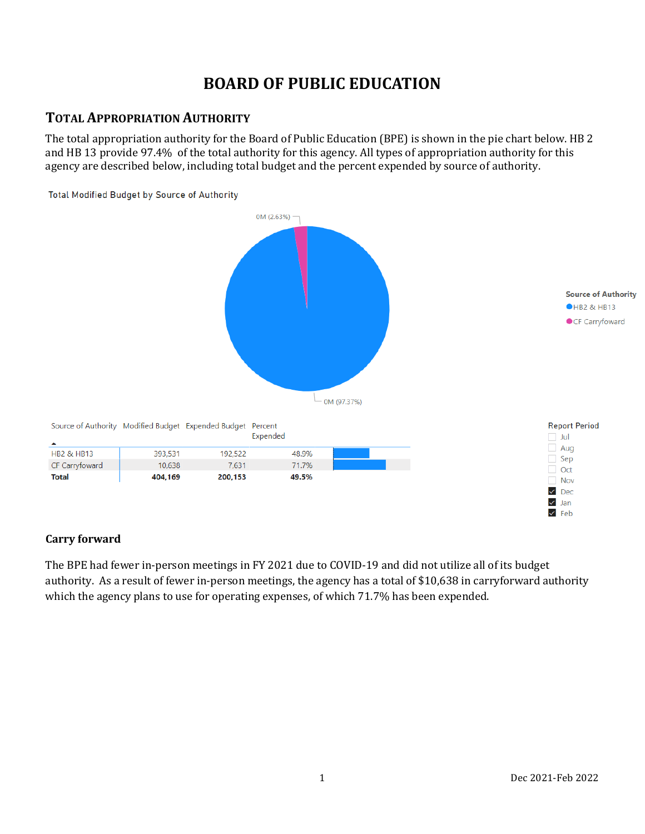# **BOARD OF PUBLIC EDUCATION**

#### **TOTAL APPROPRIATION AUTHORITY**

The total appropriation authority for the Board of Public Education (BPE) is shown in the pie chart below. HB 2 and HB 13 provide 97.4% of the total authority for this agency. All types of appropriation authority for this agency are described below, including total budget and the percent expended by source of authority.



#### **Carry forward**

The BPE had fewer in-person meetings in FY 2021 due to COVID-19 and did not utilize all of its budget authority. As a result of fewer in-person meetings, the agency has a total of \$10,638 in carryforward authority which the agency plans to use for operating expenses, of which 71.7% has been expended.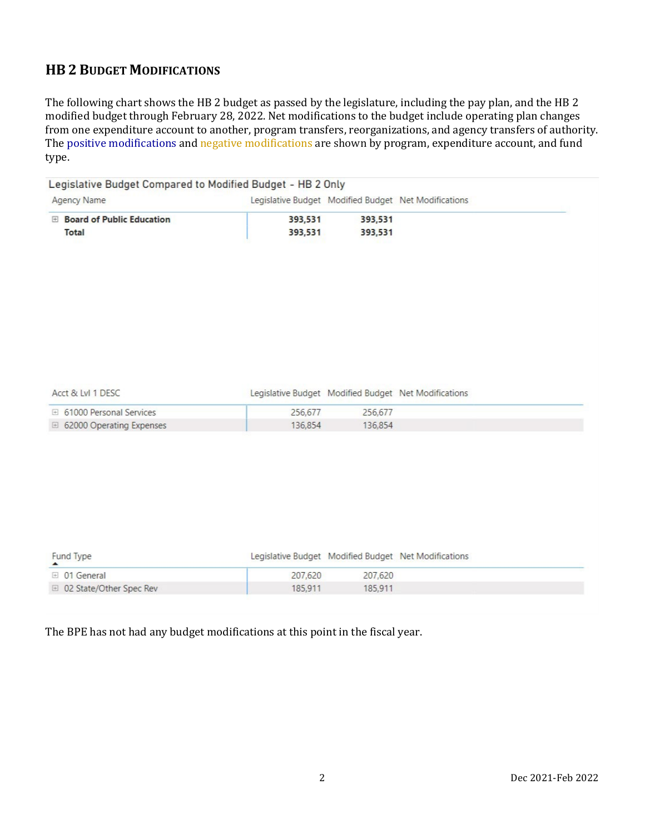# **HB 2 BUDGET MODIFICATIONS**

The following chart shows the HB 2 budget as passed by the legislature, including the pay plan, and the HB 2 modified budget through February 28, 2022. Net modifications to the budget include operating plan changes from one expenditure account to another, program transfers, reorganizations, and agency transfers of authority. The positive modifications and negative modifications are shown by program, expenditure account, and fund type.

| <b>E Board of Public Education</b><br>393,531<br>393,531<br>393,531<br>393,531<br><b>Total</b>                               |
|------------------------------------------------------------------------------------------------------------------------------|
|                                                                                                                              |
|                                                                                                                              |
|                                                                                                                              |
| Acct & LvI 1 DESC<br>Legislative Budget Modified Budget Net Modifications<br>□ 61000 Personal Services<br>256,677<br>256,677 |
| □ 62000 Operating Expenses<br>136,854<br>136,854                                                                             |

| Fund Type                 | Legislative Budget Modified Budget Net Modifications |         |  |
|---------------------------|------------------------------------------------------|---------|--|
| $\boxplus$ 01 General     | 207.620                                              | 207,620 |  |
| □ 02 State/Other Spec Rev | 185.911                                              | 185,911 |  |

The BPE has not had any budget modifications at this point in the fiscal year.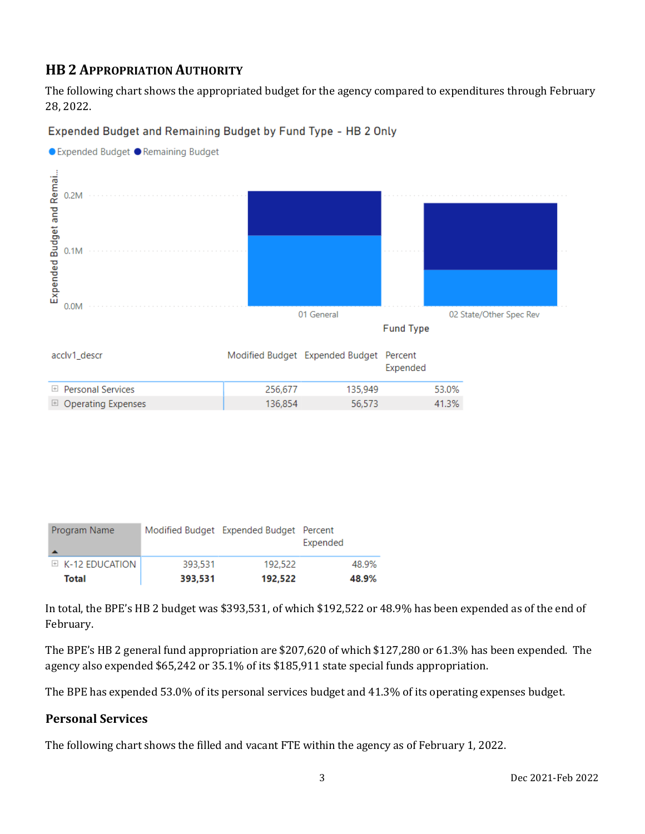# **HB 2 APPROPRIATION AUTHORITY**

The following chart shows the appropriated budget for the agency compared to expenditures through February 28, 2022.

#### Expended Budget and Remaining Budget by Fund Type - HB 2 Only



Program Name Modified Budget Expended Budget Percent Expended E K-12 EDUCATION 393,531 192,522 48.9% **Total** 393,531 192,522 48.9%

In total, the BPE's HB 2 budget was \$393,531, of which \$192,522 or 48.9% has been expended as of the end of February.

The BPE's HB 2 general fund appropriation are \$207,620 of which \$127,280 or 61.3% has been expended. The agency also expended \$65,242 or 35.1% of its \$185,911 state special funds appropriation.

The BPE has expended 53.0% of its personal services budget and 41.3% of its operating expenses budget.

#### **Personal Services**

The following chart shows the filled and vacant FTE within the agency as of February 1, 2022.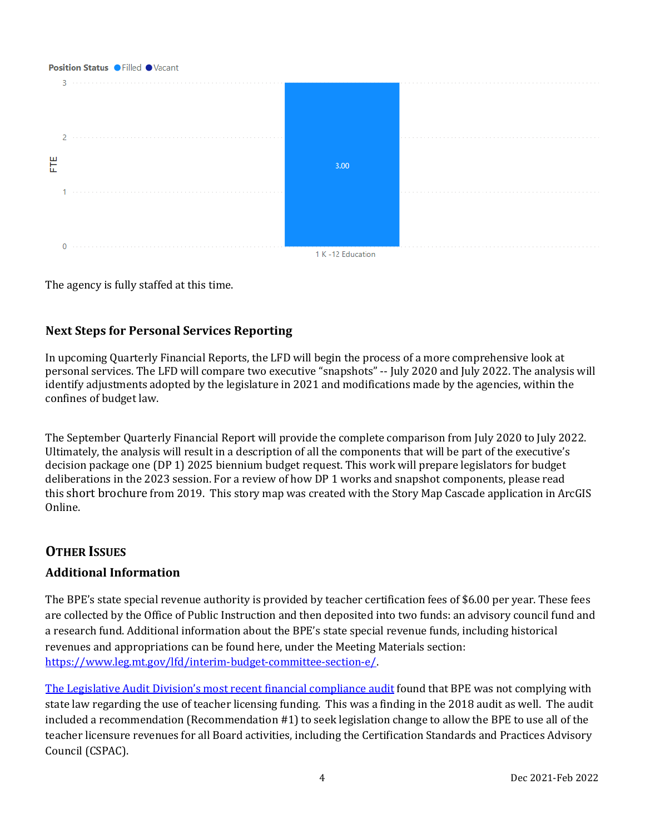# Position Status . Filled . Vacant  $2 - 1$ Ë  $3.00$ 1. . . . . . . . . . . . .  $\Omega$ 1 K-12 Education

The agency is fully staffed at this time.

### **Next Steps for Personal Services Reporting**

In upcoming Quarterly Financial Reports, the LFD will begin the process of a more comprehensive look at personal services. The LFD will compare two executive "snapshots" -- July 2020 and July 2022. The analysis will identify adjustments adopted by the legislature in 2021 and modifications made by the agencies, within the confines of budget law.

The September Quarterly Financial Report will provide the complete comparison from July 2020 to July 2022. Ultimately, the analysis will result in a description of all the components that will be part of the executive's decision package one (DP 1) 2025 biennium budget request. This work will prepare legislators for budget deliberations in the 2023 session. For a review of how DP 1 works and snapshot components, please read this [short brochure](https://montana.maps.arcgis.com/apps/Cascade/index.html?appid=23095fcf15754f4fb38b63c58a884b97) from 2019. This story map was created with the Story Map Cascade application in ArcGIS Online.

# **OTHER ISSUES**

#### **Additional Information**

The BPE's state special revenue authority is provided by teacher certification fees of \$6.00 per year. These fees are collected by the Office of Public Instruction and then deposited into two funds: an advisory council fund and a research fund. Additional information about the BPE's state special revenue funds, including historical revenues and appropriations can be found here, under the Meeting Materials section: [https://www.leg.mt.gov/lfd/interim-budget-committee-section-e/.](https://www.leg.mt.gov/lfd/interim-budget-committee-section-e/) 

[The Legislative Audit Division's most recent financial compliance audit](https://leg.mt.gov/content/Committees/Administration/audit/2021-22/Meetings/June-2021/20-22.pdf) found that BPE was not complying with state law regarding the use of teacher licensing funding. This was a finding in the 2018 audit as well. The audit included a recommendation (Recommendation #1) to seek legislation change to allow the BPE to use all of the teacher licensure revenues for all Board activities, including the Certification Standards and Practices Advisory Council (CSPAC).